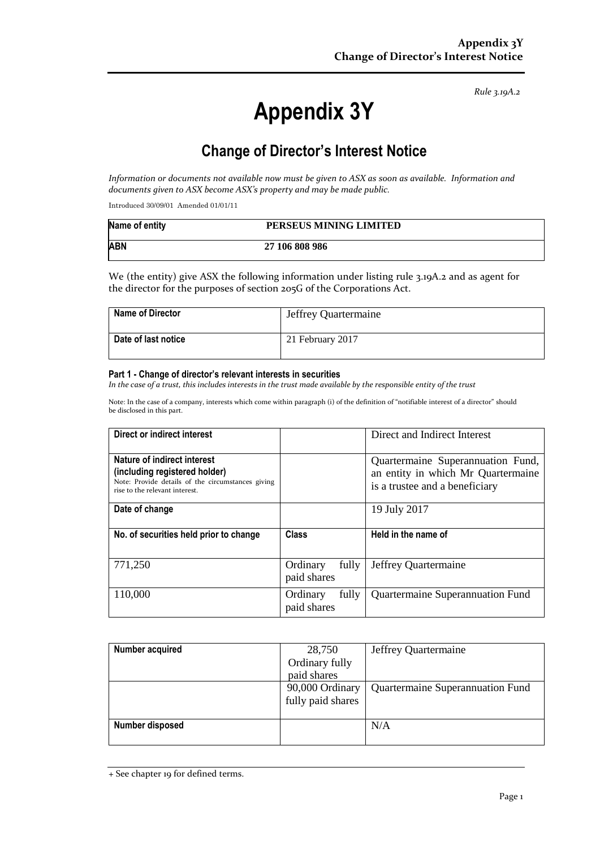*Rule 3.19A.2*

# **Appendix 3Y**

# **Change of Director's Interest Notice**

*Information or documents not available now must be given to ASX as soon as available. Information and documents given to ASX become ASX's property and may be made public.*

Introduced 30/09/01 Amended 01/01/11

| Name of entity | PERSEUS MINING LIMITED |
|----------------|------------------------|
| <b>ABN</b>     | 27 106 808 986         |

We (the entity) give ASX the following information under listing rule 3.19A.2 and as agent for the director for the purposes of section 205G of the Corporations Act.

| Name of Director    | Jeffrey Quartermaine |
|---------------------|----------------------|
| Date of last notice | 21 February 2017     |

#### **Part 1 - Change of director's relevant interests in securities**

*In the case of a trust, this includes interests in the trust made available by the responsible entity of the trust*

Note: In the case of a company, interests which come within paragraph (i) of the definition of "notifiable interest of a director" should be disclosed in this part.

| Direct or indirect interest                                                                                                                         |                                  | Direct and Indirect Interest                                                                              |
|-----------------------------------------------------------------------------------------------------------------------------------------------------|----------------------------------|-----------------------------------------------------------------------------------------------------------|
| Nature of indirect interest<br>(including registered holder)<br>Note: Provide details of the circumstances giving<br>rise to the relevant interest. |                                  | Quartermaine Superannuation Fund,<br>an entity in which Mr Quartermaine<br>is a trustee and a beneficiary |
| Date of change                                                                                                                                      |                                  | 19 July 2017                                                                                              |
| No. of securities held prior to change                                                                                                              | Class                            | Held in the name of                                                                                       |
| 771,250                                                                                                                                             | Ordinary<br>fully<br>paid shares | Jeffrey Quartermaine                                                                                      |
| 110,000                                                                                                                                             | fully<br>Ordinary<br>paid shares | Quartermaine Superannuation Fund                                                                          |

| Number acquired | 28,750            | Jeffrey Quartermaine             |
|-----------------|-------------------|----------------------------------|
|                 | Ordinary fully    |                                  |
|                 | paid shares       |                                  |
|                 | 90,000 Ordinary   | Quartermaine Superannuation Fund |
|                 | fully paid shares |                                  |
|                 |                   |                                  |
| Number disposed |                   | N/A                              |
|                 |                   |                                  |

<sup>+</sup> See chapter 19 for defined terms.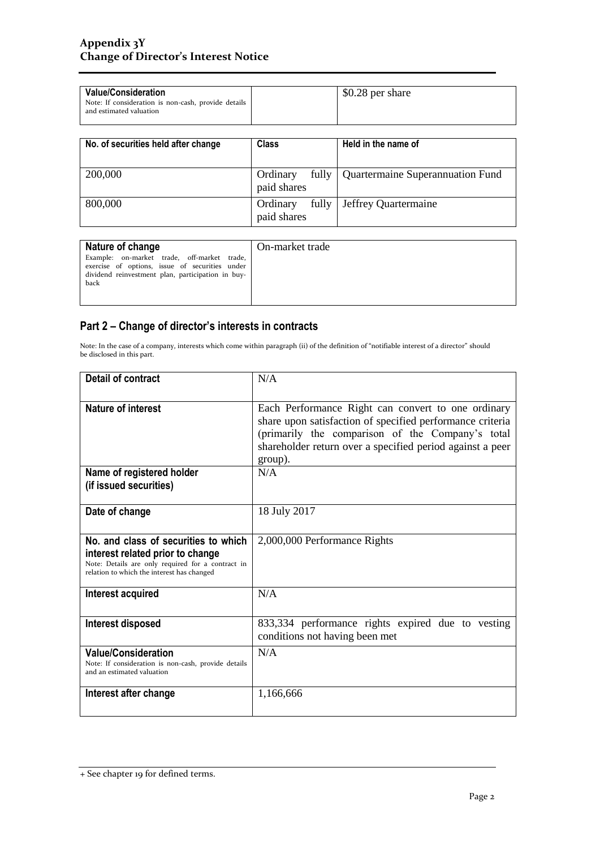| <b>Value/Consideration</b><br>Note: If consideration is non-cash, provide details<br>and estimated valuation |                         |       | \$0.28 per share                 |
|--------------------------------------------------------------------------------------------------------------|-------------------------|-------|----------------------------------|
| No. of securities held after change                                                                          | <b>Class</b>            |       | Held in the name of              |
|                                                                                                              |                         |       |                                  |
| 200,000                                                                                                      | Ordinary<br>paid shares | fully | Quartermaine Superannuation Fund |
| 800,000                                                                                                      | Ordinary<br>paid shares | fully | Jeffrey Quartermaine             |

| Nature of change                                                                                                                                   | On-market trade |
|----------------------------------------------------------------------------------------------------------------------------------------------------|-----------------|
| Example: on-market trade, off-market trade,<br>exercise of options, issue of securities under<br>dividend reinvestment plan, participation in buy- |                 |
| back                                                                                                                                               |                 |

## **Part 2 – Change of director's interests in contracts**

Note: In the case of a company, interests which come within paragraph (ii) of the definition of "notifiable interest of a director" should be disclosed in this part.

| <b>Detail of contract</b>                                                                                                                                                   | N/A                                                                                                                                                                                                                                         |  |
|-----------------------------------------------------------------------------------------------------------------------------------------------------------------------------|---------------------------------------------------------------------------------------------------------------------------------------------------------------------------------------------------------------------------------------------|--|
| Nature of interest                                                                                                                                                          | Each Performance Right can convert to one ordinary<br>share upon satisfaction of specified performance criteria<br>(primarily the comparison of the Company's total<br>shareholder return over a specified period against a peer<br>group). |  |
| Name of registered holder<br>(if issued securities)                                                                                                                         | N/A                                                                                                                                                                                                                                         |  |
| Date of change                                                                                                                                                              | 18 July 2017                                                                                                                                                                                                                                |  |
| No. and class of securities to which<br>interest related prior to change<br>Note: Details are only required for a contract in<br>relation to which the interest has changed | 2,000,000 Performance Rights                                                                                                                                                                                                                |  |
| Interest acquired                                                                                                                                                           | N/A                                                                                                                                                                                                                                         |  |
| <b>Interest disposed</b>                                                                                                                                                    | 833,334 performance rights expired due to vesting<br>conditions not having been met                                                                                                                                                         |  |
| <b>Value/Consideration</b><br>Note: If consideration is non-cash, provide details<br>and an estimated valuation                                                             | N/A                                                                                                                                                                                                                                         |  |
| Interest after change                                                                                                                                                       | 1,166,666                                                                                                                                                                                                                                   |  |

<sup>+</sup> See chapter 19 for defined terms.